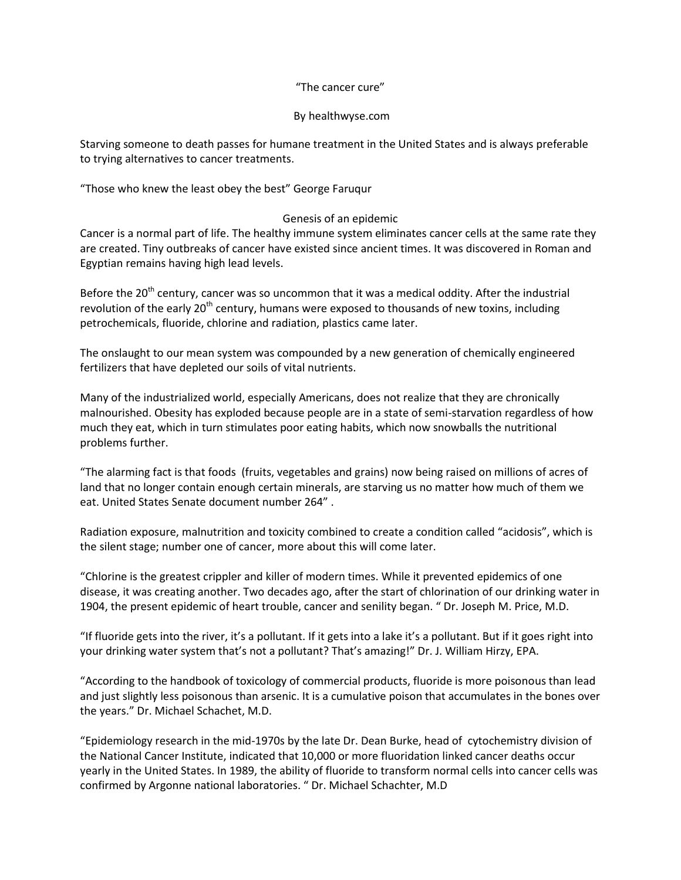# "The cancer cure"

# By healthwyse.com

Starving someone to death passes for humane treatment in the United States and is always preferable to trying alternatives to cancer treatments.

"Those who knew the least obey the best" George Faruqur

# Genesis of an epidemic

Cancer is a normal part of life. The healthy immune system eliminates cancer cells at the same rate they are created. Tiny outbreaks of cancer have existed since ancient times. It was discovered in Roman and Egyptian remains having high lead levels.

Before the 20<sup>th</sup> century, cancer was so uncommon that it was a medical oddity. After the industrial revolution of the early  $20<sup>th</sup>$  century, humans were exposed to thousands of new toxins, including petrochemicals, fluoride, chlorine and radiation, plastics came later.

The onslaught to our mean system was compounded by a new generation of chemically engineered fertilizers that have depleted our soils of vital nutrients.

Many of the industrialized world, especially Americans, does not realize that they are chronically malnourished. Obesity has exploded because people are in a state of semi-starvation regardless of how much they eat, which in turn stimulates poor eating habits, which now snowballs the nutritional problems further.

"The alarming fact is that foods (fruits, vegetables and grains) now being raised on millions of acres of land that no longer contain enough certain minerals, are starving us no matter how much of them we eat. United States Senate document number 264" .

Radiation exposure, malnutrition and toxicity combined to create a condition called "acidosis", which is the silent stage; number one of cancer, more about this will come later.

"Chlorine is the greatest crippler and killer of modern times. While it prevented epidemics of one disease, it was creating another. Two decades ago, after the start of chlorination of our drinking water in 1904, the present epidemic of heart trouble, cancer and senility began. " Dr. Joseph M. Price, M.D.

"If fluoride gets into the river, it's a pollutant. If it gets into a lake it's a pollutant. But if it goes right into your drinking water system that's not a pollutant? That's amazing!" Dr. J. William Hirzy, EPA.

"According to the handbook of toxicology of commercial products, fluoride is more poisonous than lead and just slightly less poisonous than arsenic. It is a cumulative poison that accumulates in the bones over the years." Dr. Michael Schachet, M.D.

"Epidemiology research in the mid-1970s by the late Dr. Dean Burke, head of cytochemistry division of the National Cancer Institute, indicated that 10,000 or more fluoridation linked cancer deaths occur yearly in the United States. In 1989, the ability of fluoride to transform normal cells into cancer cells was confirmed by Argonne national laboratories. " Dr. Michael Schachter, M.D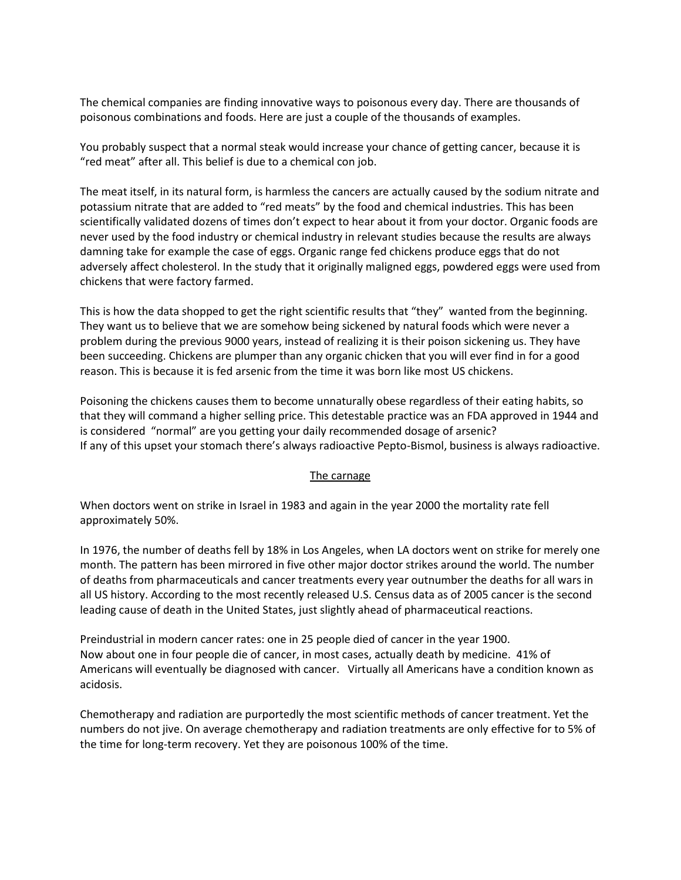The chemical companies are finding innovative ways to poisonous every day. There are thousands of poisonous combinations and foods. Here are just a couple of the thousands of examples.

You probably suspect that a normal steak would increase your chance of getting cancer, because it is "red meat" after all. This belief is due to a chemical con job.

The meat itself, in its natural form, is harmless the cancers are actually caused by the sodium nitrate and potassium nitrate that are added to "red meats" by the food and chemical industries. This has been scientifically validated dozens of times don't expect to hear about it from your doctor. Organic foods are never used by the food industry or chemical industry in relevant studies because the results are always damning take for example the case of eggs. Organic range fed chickens produce eggs that do not adversely affect cholesterol. In the study that it originally maligned eggs, powdered eggs were used from chickens that were factory farmed.

This is how the data shopped to get the right scientific results that "they" wanted from the beginning. They want us to believe that we are somehow being sickened by natural foods which were never a problem during the previous 9000 years, instead of realizing it is their poison sickening us. They have been succeeding. Chickens are plumper than any organic chicken that you will ever find in for a good reason. This is because it is fed arsenic from the time it was born like most US chickens.

Poisoning the chickens causes them to become unnaturally obese regardless of their eating habits, so that they will command a higher selling price. This detestable practice was an FDA approved in 1944 and is considered "normal" are you getting your daily recommended dosage of arsenic? If any of this upset your stomach there's always radioactive Pepto-Bismol, business is always radioactive.

# The carnage

When doctors went on strike in Israel in 1983 and again in the year 2000 the mortality rate fell approximately 50%.

In 1976, the number of deaths fell by 18% in Los Angeles, when LA doctors went on strike for merely one month. The pattern has been mirrored in five other major doctor strikes around the world. The number of deaths from pharmaceuticals and cancer treatments every year outnumber the deaths for all wars in all US history. According to the most recently released U.S. Census data as of 2005 cancer is the second leading cause of death in the United States, just slightly ahead of pharmaceutical reactions.

Preindustrial in modern cancer rates: one in 25 people died of cancer in the year 1900. Now about one in four people die of cancer, in most cases, actually death by medicine. 41% of Americans will eventually be diagnosed with cancer. Virtually all Americans have a condition known as acidosis.

Chemotherapy and radiation are purportedly the most scientific methods of cancer treatment. Yet the numbers do not jive. On average chemotherapy and radiation treatments are only effective for to 5% of the time for long-term recovery. Yet they are poisonous 100% of the time.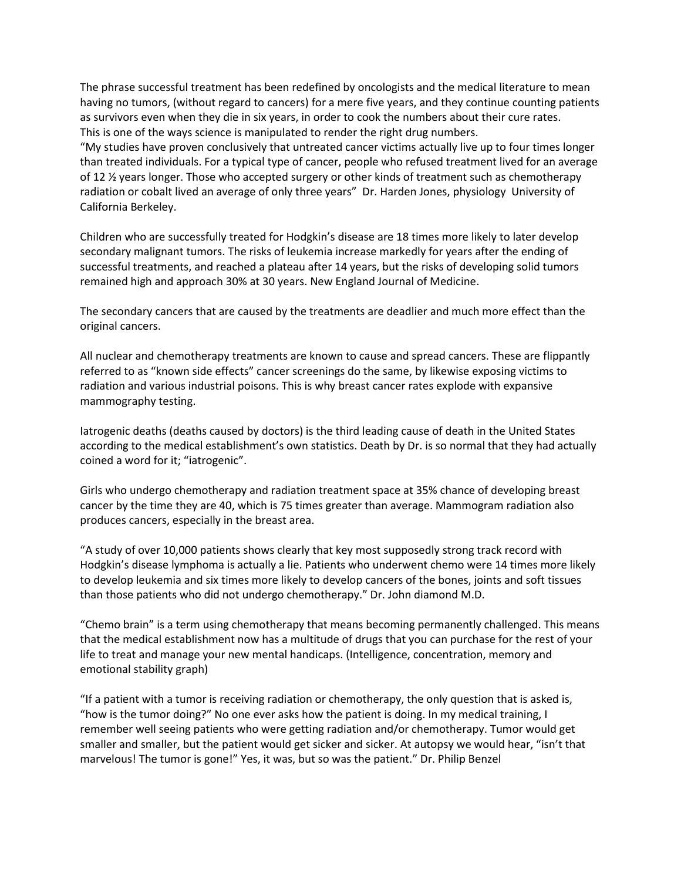The phrase successful treatment has been redefined by oncologists and the medical literature to mean having no tumors, (without regard to cancers) for a mere five years, and they continue counting patients as survivors even when they die in six years, in order to cook the numbers about their cure rates. This is one of the ways science is manipulated to render the right drug numbers.

"My studies have proven conclusively that untreated cancer victims actually live up to four times longer than treated individuals. For a typical type of cancer, people who refused treatment lived for an average of 12 <sup>1</sup>/<sub>2</sub> years longer. Those who accepted surgery or other kinds of treatment such as chemotherapy radiation or cobalt lived an average of only three years" Dr. Harden Jones, physiology University of California Berkeley.

Children who are successfully treated for Hodgkin's disease are 18 times more likely to later develop secondary malignant tumors. The risks of leukemia increase markedly for years after the ending of successful treatments, and reached a plateau after 14 years, but the risks of developing solid tumors remained high and approach 30% at 30 years. New England Journal of Medicine.

The secondary cancers that are caused by the treatments are deadlier and much more effect than the original cancers.

All nuclear and chemotherapy treatments are known to cause and spread cancers. These are flippantly referred to as "known side effects" cancer screenings do the same, by likewise exposing victims to radiation and various industrial poisons. This is why breast cancer rates explode with expansive mammography testing.

Iatrogenic deaths (deaths caused by doctors) is the third leading cause of death in the United States according to the medical establishment's own statistics. Death by Dr. is so normal that they had actually coined a word for it; "iatrogenic".

Girls who undergo chemotherapy and radiation treatment space at 35% chance of developing breast cancer by the time they are 40, which is 75 times greater than average. Mammogram radiation also produces cancers, especially in the breast area.

"A study of over 10,000 patients shows clearly that key most supposedly strong track record with Hodgkin's disease lymphoma is actually a lie. Patients who underwent chemo were 14 times more likely to develop leukemia and six times more likely to develop cancers of the bones, joints and soft tissues than those patients who did not undergo chemotherapy." Dr. John diamond M.D.

"Chemo brain" is a term using chemotherapy that means becoming permanently challenged. This means that the medical establishment now has a multitude of drugs that you can purchase for the rest of your life to treat and manage your new mental handicaps. (Intelligence, concentration, memory and emotional stability graph)

"If a patient with a tumor is receiving radiation or chemotherapy, the only question that is asked is, "how is the tumor doing?" No one ever asks how the patient is doing. In my medical training, I remember well seeing patients who were getting radiation and/or chemotherapy. Tumor would get smaller and smaller, but the patient would get sicker and sicker. At autopsy we would hear, "isn't that marvelous! The tumor is gone!" Yes, it was, but so was the patient." Dr. Philip Benzel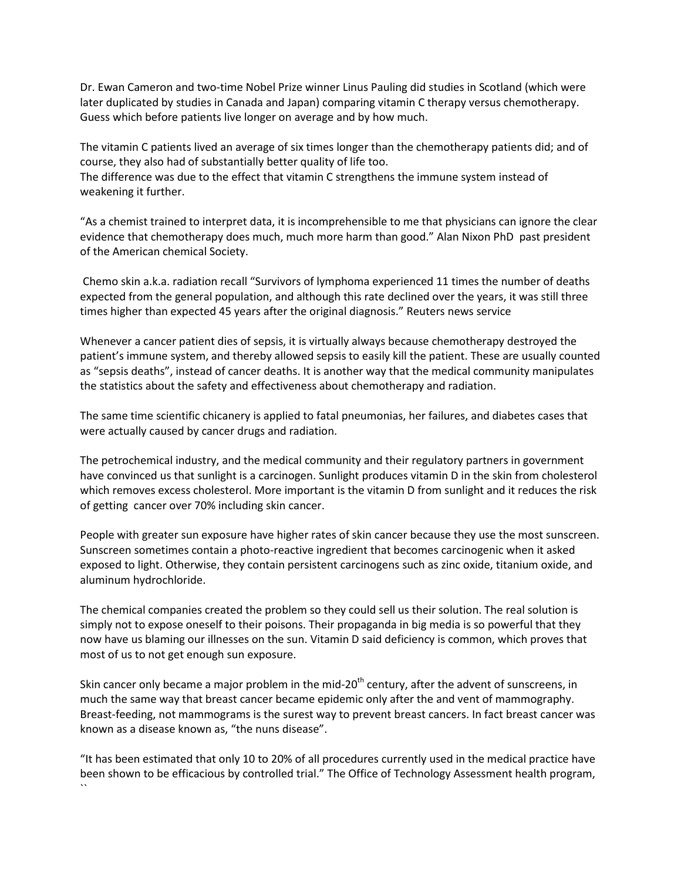Dr. Ewan Cameron and two-time Nobel Prize winner Linus Pauling did studies in Scotland (which were later duplicated by studies in Canada and Japan) comparing vitamin C therapy versus chemotherapy. Guess which before patients live longer on average and by how much.

The vitamin C patients lived an average of six times longer than the chemotherapy patients did; and of course, they also had of substantially better quality of life too.

The difference was due to the effect that vitamin C strengthens the immune system instead of weakening it further.

"As a chemist trained to interpret data, it is incomprehensible to me that physicians can ignore the clear evidence that chemotherapy does much, much more harm than good." Alan Nixon PhD past president of the American chemical Society.

Chemo skin a.k.a. radiation recall "Survivors of lymphoma experienced 11 times the number of deaths expected from the general population, and although this rate declined over the years, it was still three times higher than expected 45 years after the original diagnosis." Reuters news service

Whenever a cancer patient dies of sepsis, it is virtually always because chemotherapy destroyed the patient's immune system, and thereby allowed sepsis to easily kill the patient. These are usually counted as "sepsis deaths", instead of cancer deaths. It is another way that the medical community manipulates the statistics about the safety and effectiveness about chemotherapy and radiation.

The same time scientific chicanery is applied to fatal pneumonias, her failures, and diabetes cases that were actually caused by cancer drugs and radiation.

The petrochemical industry, and the medical community and their regulatory partners in government have convinced us that sunlight is a carcinogen. Sunlight produces vitamin D in the skin from cholesterol which removes excess cholesterol. More important is the vitamin D from sunlight and it reduces the risk of getting cancer over 70% including skin cancer.

People with greater sun exposure have higher rates of skin cancer because they use the most sunscreen. Sunscreen sometimes contain a photo-reactive ingredient that becomes carcinogenic when it asked exposed to light. Otherwise, they contain persistent carcinogens such as zinc oxide, titanium oxide, and aluminum hydrochloride.

The chemical companies created the problem so they could sell us their solution. The real solution is simply not to expose oneself to their poisons. Their propaganda in big media is so powerful that they now have us blaming our illnesses on the sun. Vitamin D said deficiency is common, which proves that most of us to not get enough sun exposure.

Skin cancer only became a major problem in the mid- $20<sup>th</sup>$  century, after the advent of sunscreens, in much the same way that breast cancer became epidemic only after the and vent of mammography. Breast-feeding, not mammograms is the surest way to prevent breast cancers. In fact breast cancer was known as a disease known as, "the nuns disease".

"It has been estimated that only 10 to 20% of all procedures currently used in the medical practice have been shown to be efficacious by controlled trial." The Office of Technology Assessment health program, ``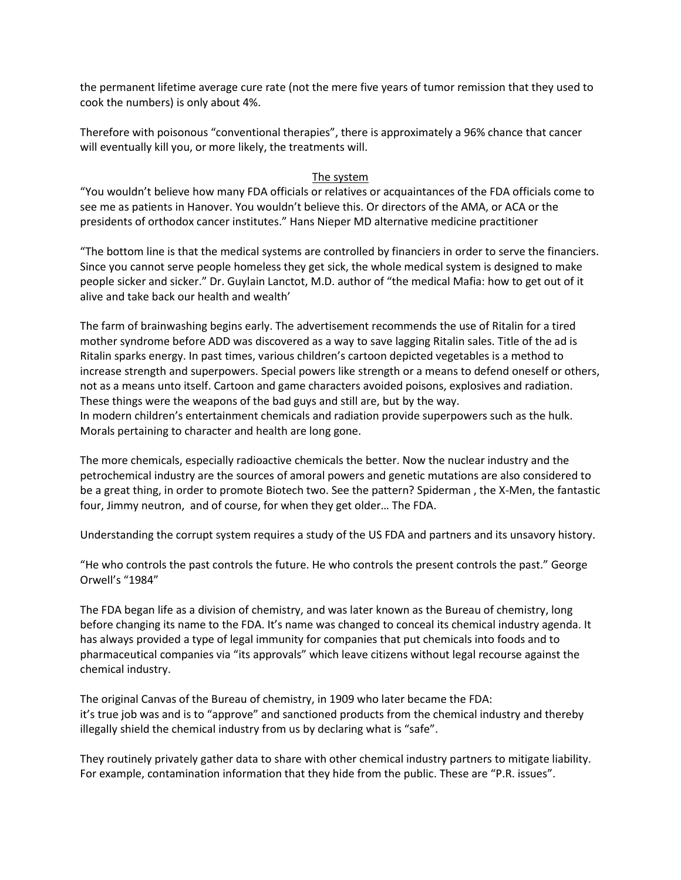the permanent lifetime average cure rate (not the mere five years of tumor remission that they used to cook the numbers) is only about 4%.

Therefore with poisonous "conventional therapies", there is approximately a 96% chance that cancer will eventually kill you, or more likely, the treatments will.

### The system

"You wouldn't believe how many FDA officials or relatives or acquaintances of the FDA officials come to see me as patients in Hanover. You wouldn't believe this. Or directors of the AMA, or ACA or the presidents of orthodox cancer institutes." Hans Nieper MD alternative medicine practitioner

"The bottom line is that the medical systems are controlled by financiers in order to serve the financiers. Since you cannot serve people homeless they get sick, the whole medical system is designed to make people sicker and sicker." Dr. Guylain Lanctot, M.D. author of "the medical Mafia: how to get out of it alive and take back our health and wealth'

The farm of brainwashing begins early. The advertisement recommends the use of Ritalin for a tired mother syndrome before ADD was discovered as a way to save lagging Ritalin sales. Title of the ad is Ritalin sparks energy. In past times, various children's cartoon depicted vegetables is a method to increase strength and superpowers. Special powers like strength or a means to defend oneself or others, not as a means unto itself. Cartoon and game characters avoided poisons, explosives and radiation. These things were the weapons of the bad guys and still are, but by the way. In modern children's entertainment chemicals and radiation provide superpowers such as the hulk. Morals pertaining to character and health are long gone.

The more chemicals, especially radioactive chemicals the better. Now the nuclear industry and the petrochemical industry are the sources of amoral powers and genetic mutations are also considered to be a great thing, in order to promote Biotech two. See the pattern? Spiderman , the X-Men, the fantastic four, Jimmy neutron, and of course, for when they get older… The FDA.

Understanding the corrupt system requires a study of the US FDA and partners and its unsavory history.

"He who controls the past controls the future. He who controls the present controls the past." George Orwell's "1984"

The FDA began life as a division of chemistry, and was later known as the Bureau of chemistry, long before changing its name to the FDA. It's name was changed to conceal its chemical industry agenda. It has always provided a type of legal immunity for companies that put chemicals into foods and to pharmaceutical companies via "its approvals" which leave citizens without legal recourse against the chemical industry.

The original Canvas of the Bureau of chemistry, in 1909 who later became the FDA: it's true job was and is to "approve" and sanctioned products from the chemical industry and thereby illegally shield the chemical industry from us by declaring what is "safe".

They routinely privately gather data to share with other chemical industry partners to mitigate liability. For example, contamination information that they hide from the public. These are "P.R. issues".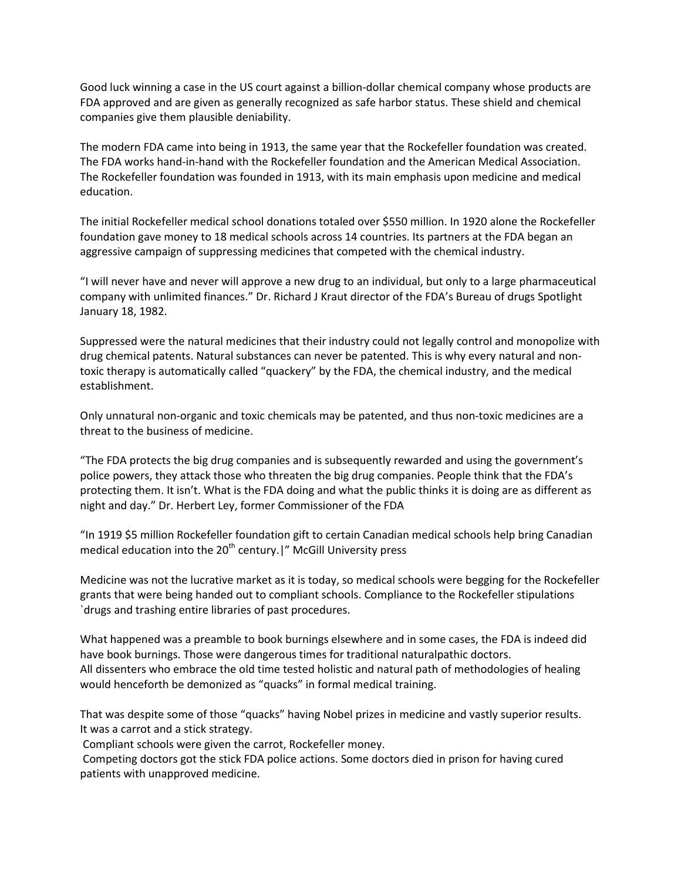Good luck winning a case in the US court against a billion-dollar chemical company whose products are FDA approved and are given as generally recognized as safe harbor status. These shield and chemical companies give them plausible deniability.

The modern FDA came into being in 1913, the same year that the Rockefeller foundation was created. The FDA works hand-in-hand with the Rockefeller foundation and the American Medical Association. The Rockefeller foundation was founded in 1913, with its main emphasis upon medicine and medical education.

The initial Rockefeller medical school donations totaled over \$550 million. In 1920 alone the Rockefeller foundation gave money to 18 medical schools across 14 countries. Its partners at the FDA began an aggressive campaign of suppressing medicines that competed with the chemical industry.

"I will never have and never will approve a new drug to an individual, but only to a large pharmaceutical company with unlimited finances." Dr. Richard J Kraut director of the FDA's Bureau of drugs Spotlight January 18, 1982.

Suppressed were the natural medicines that their industry could not legally control and monopolize with drug chemical patents. Natural substances can never be patented. This is why every natural and nontoxic therapy is automatically called "quackery" by the FDA, the chemical industry, and the medical establishment.

Only unnatural non-organic and toxic chemicals may be patented, and thus non-toxic medicines are a threat to the business of medicine.

"The FDA protects the big drug companies and is subsequently rewarded and using the government's police powers, they attack those who threaten the big drug companies. People think that the FDA's protecting them. It isn't. What is the FDA doing and what the public thinks it is doing are as different as night and day." Dr. Herbert Ley, former Commissioner of the FDA

"In 1919 \$5 million Rockefeller foundation gift to certain Canadian medical schools help bring Canadian medical education into the  $20<sup>th</sup>$  century. |" McGill University press

Medicine was not the lucrative market as it is today, so medical schools were begging for the Rockefeller grants that were being handed out to compliant schools. Compliance to the Rockefeller stipulations `drugs and trashing entire libraries of past procedures.

What happened was a preamble to book burnings elsewhere and in some cases, the FDA is indeed did have book burnings. Those were dangerous times for traditional naturalpathic doctors. All dissenters who embrace the old time tested holistic and natural path of methodologies of healing would henceforth be demonized as "quacks" in formal medical training.

That was despite some of those "quacks" having Nobel prizes in medicine and vastly superior results. It was a carrot and a stick strategy.

Compliant schools were given the carrot, Rockefeller money.

Competing doctors got the stick FDA police actions. Some doctors died in prison for having cured patients with unapproved medicine.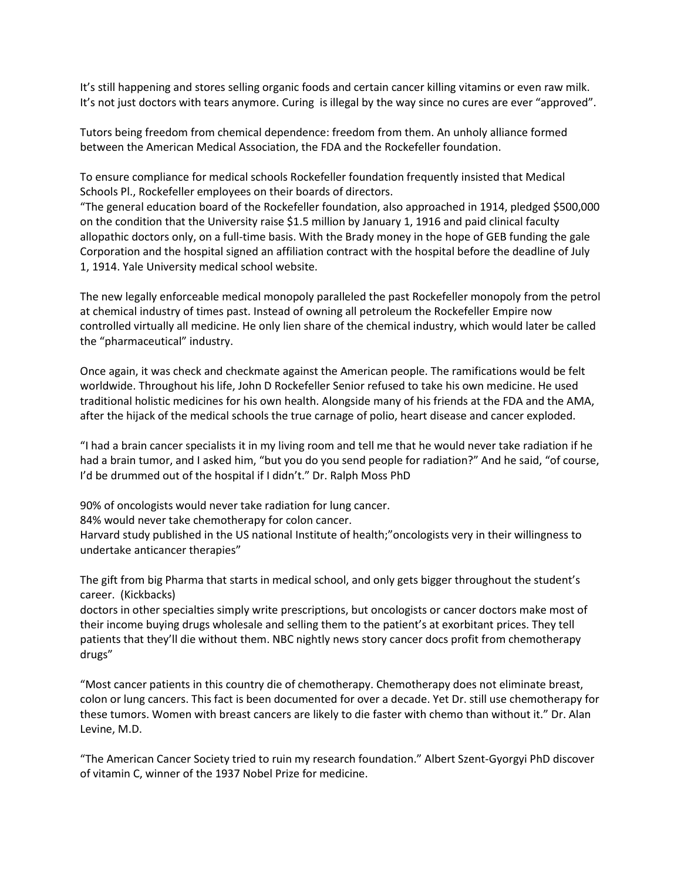It's still happening and stores selling organic foods and certain cancer killing vitamins or even raw milk. It's not just doctors with tears anymore. Curing is illegal by the way since no cures are ever "approved".

Tutors being freedom from chemical dependence: freedom from them. An unholy alliance formed between the American Medical Association, the FDA and the Rockefeller foundation.

To ensure compliance for medical schools Rockefeller foundation frequently insisted that Medical Schools Pl., Rockefeller employees on their boards of directors.

"The general education board of the Rockefeller foundation, also approached in 1914, pledged \$500,000 on the condition that the University raise \$1.5 million by January 1, 1916 and paid clinical faculty allopathic doctors only, on a full-time basis. With the Brady money in the hope of GEB funding the gale Corporation and the hospital signed an affiliation contract with the hospital before the deadline of July 1, 1914. Yale University medical school website.

The new legally enforceable medical monopoly paralleled the past Rockefeller monopoly from the petrol at chemical industry of times past. Instead of owning all petroleum the Rockefeller Empire now controlled virtually all medicine. He only lien share of the chemical industry, which would later be called the "pharmaceutical" industry.

Once again, it was check and checkmate against the American people. The ramifications would be felt worldwide. Throughout his life, John D Rockefeller Senior refused to take his own medicine. He used traditional holistic medicines for his own health. Alongside many of his friends at the FDA and the AMA, after the hijack of the medical schools the true carnage of polio, heart disease and cancer exploded.

"I had a brain cancer specialists it in my living room and tell me that he would never take radiation if he had a brain tumor, and I asked him, "but you do you send people for radiation?" And he said, "of course, I'd be drummed out of the hospital if I didn't." Dr. Ralph Moss PhD

90% of oncologists would never take radiation for lung cancer.

84% would never take chemotherapy for colon cancer.

Harvard study published in the US national Institute of health;"oncologists very in their willingness to undertake anticancer therapies"

The gift from big Pharma that starts in medical school, and only gets bigger throughout the student's career. (Kickbacks)

doctors in other specialties simply write prescriptions, but oncologists or cancer doctors make most of their income buying drugs wholesale and selling them to the patient's at exorbitant prices. They tell patients that they'll die without them. NBC nightly news story cancer docs profit from chemotherapy drugs"

"Most cancer patients in this country die of chemotherapy. Chemotherapy does not eliminate breast, colon or lung cancers. This fact is been documented for over a decade. Yet Dr. still use chemotherapy for these tumors. Women with breast cancers are likely to die faster with chemo than without it." Dr. Alan Levine, M.D.

"The American Cancer Society tried to ruin my research foundation." Albert Szent-Gyorgyi PhD discover of vitamin C, winner of the 1937 Nobel Prize for medicine.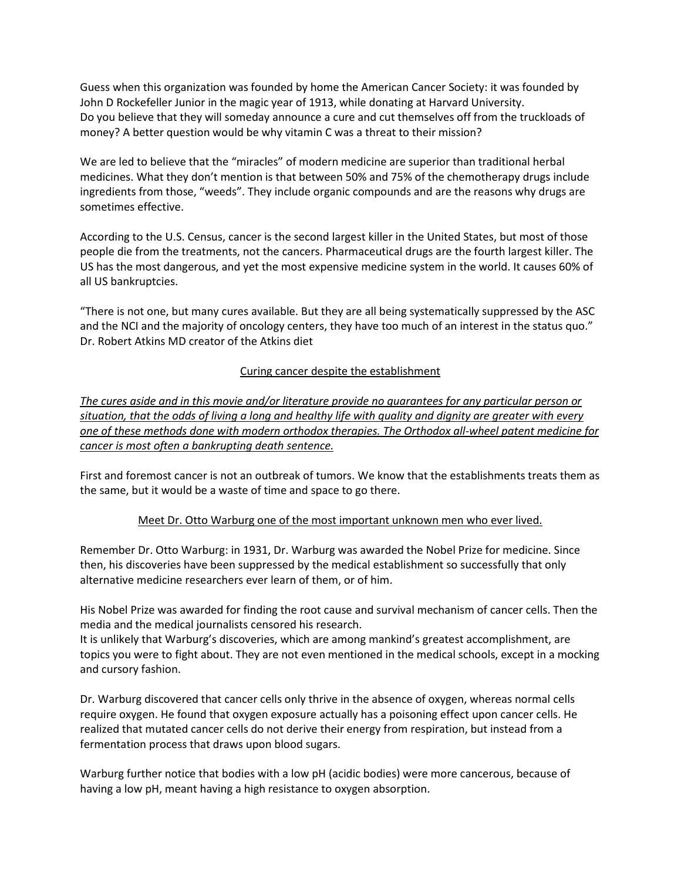Guess when this organization was founded by home the American Cancer Society: it was founded by John D Rockefeller Junior in the magic year of 1913, while donating at Harvard University. Do you believe that they will someday announce a cure and cut themselves off from the truckloads of money? A better question would be why vitamin C was a threat to their mission?

We are led to believe that the "miracles" of modern medicine are superior than traditional herbal medicines. What they don't mention is that between 50% and 75% of the chemotherapy drugs include ingredients from those, "weeds". They include organic compounds and are the reasons why drugs are sometimes effective.

According to the U.S. Census, cancer is the second largest killer in the United States, but most of those people die from the treatments, not the cancers. Pharmaceutical drugs are the fourth largest killer. The US has the most dangerous, and yet the most expensive medicine system in the world. It causes 60% of all US bankruptcies.

"There is not one, but many cures available. But they are all being systematically suppressed by the ASC and the NCI and the majority of oncology centers, they have too much of an interest in the status quo." Dr. Robert Atkins MD creator of the Atkins diet

# Curing cancer despite the establishment

*The cures aside and in this movie and/or literature provide no guarantees for any particular person or situation, that the odds of living a long and healthy life with quality and dignity are greater with every one of these methods done with modern orthodox therapies. The Orthodox all-wheel patent medicine for cancer is most often a bankrupting death sentence.*

First and foremost cancer is not an outbreak of tumors. We know that the establishments treats them as the same, but it would be a waste of time and space to go there.

# Meet Dr. Otto Warburg one of the most important unknown men who ever lived.

Remember Dr. Otto Warburg: in 1931, Dr. Warburg was awarded the Nobel Prize for medicine. Since then, his discoveries have been suppressed by the medical establishment so successfully that only alternative medicine researchers ever learn of them, or of him.

His Nobel Prize was awarded for finding the root cause and survival mechanism of cancer cells. Then the media and the medical journalists censored his research.

It is unlikely that Warburg's discoveries, which are among mankind's greatest accomplishment, are topics you were to fight about. They are not even mentioned in the medical schools, except in a mocking and cursory fashion.

Dr. Warburg discovered that cancer cells only thrive in the absence of oxygen, whereas normal cells require oxygen. He found that oxygen exposure actually has a poisoning effect upon cancer cells. He realized that mutated cancer cells do not derive their energy from respiration, but instead from a fermentation process that draws upon blood sugars.

Warburg further notice that bodies with a low pH (acidic bodies) were more cancerous, because of having a low pH, meant having a high resistance to oxygen absorption.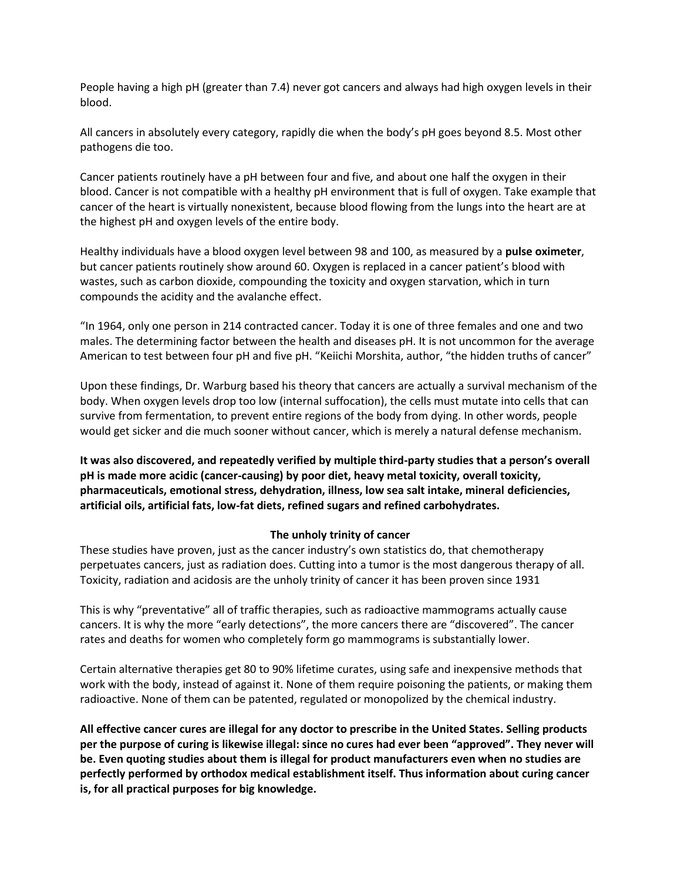People having a high pH (greater than 7.4) never got cancers and always had high oxygen levels in their blood.

All cancers in absolutely every category, rapidly die when the body's pH goes beyond 8.5. Most other pathogens die too.

Cancer patients routinely have a pH between four and five, and about one half the oxygen in their blood. Cancer is not compatible with a healthy pH environment that is full of oxygen. Take example that cancer of the heart is virtually nonexistent, because blood flowing from the lungs into the heart are at the highest pH and oxygen levels of the entire body.

Healthy individuals have a blood oxygen level between 98 and 100, as measured by a **pulse oximeter**, but cancer patients routinely show around 60. Oxygen is replaced in a cancer patient's blood with wastes, such as carbon dioxide, compounding the toxicity and oxygen starvation, which in turn compounds the acidity and the avalanche effect.

"In 1964, only one person in 214 contracted cancer. Today it is one of three females and one and two males. The determining factor between the health and diseases pH. It is not uncommon for the average American to test between four pH and five pH. "Keiichi Morshita, author, "the hidden truths of cancer"

Upon these findings, Dr. Warburg based his theory that cancers are actually a survival mechanism of the body. When oxygen levels drop too low (internal suffocation), the cells must mutate into cells that can survive from fermentation, to prevent entire regions of the body from dying. In other words, people would get sicker and die much sooner without cancer, which is merely a natural defense mechanism.

**It was also discovered, and repeatedly verified by multiple third-party studies that a person's overall pH is made more acidic (cancer-causing) by poor diet, heavy metal toxicity, overall toxicity, pharmaceuticals, emotional stress, dehydration, illness, low sea salt intake, mineral deficiencies, artificial oils, artificial fats, low-fat diets, refined sugars and refined carbohydrates.**

# **The unholy trinity of cancer**

These studies have proven, just as the cancer industry's own statistics do, that chemotherapy perpetuates cancers, just as radiation does. Cutting into a tumor is the most dangerous therapy of all. Toxicity, radiation and acidosis are the unholy trinity of cancer it has been proven since 1931

This is why "preventative" all of traffic therapies, such as radioactive mammograms actually cause cancers. It is why the more "early detections", the more cancers there are "discovered". The cancer rates and deaths for women who completely form go mammograms is substantially lower.

Certain alternative therapies get 80 to 90% lifetime curates, using safe and inexpensive methods that work with the body, instead of against it. None of them require poisoning the patients, or making them radioactive. None of them can be patented, regulated or monopolized by the chemical industry.

**All effective cancer cures are illegal for any doctor to prescribe in the United States. Selling products per the purpose of curing is likewise illegal: since no cures had ever been "approved". They never will be. Even quoting studies about them is illegal for product manufacturers even when no studies are perfectly performed by orthodox medical establishment itself. Thus information about curing cancer is, for all practical purposes for big knowledge.**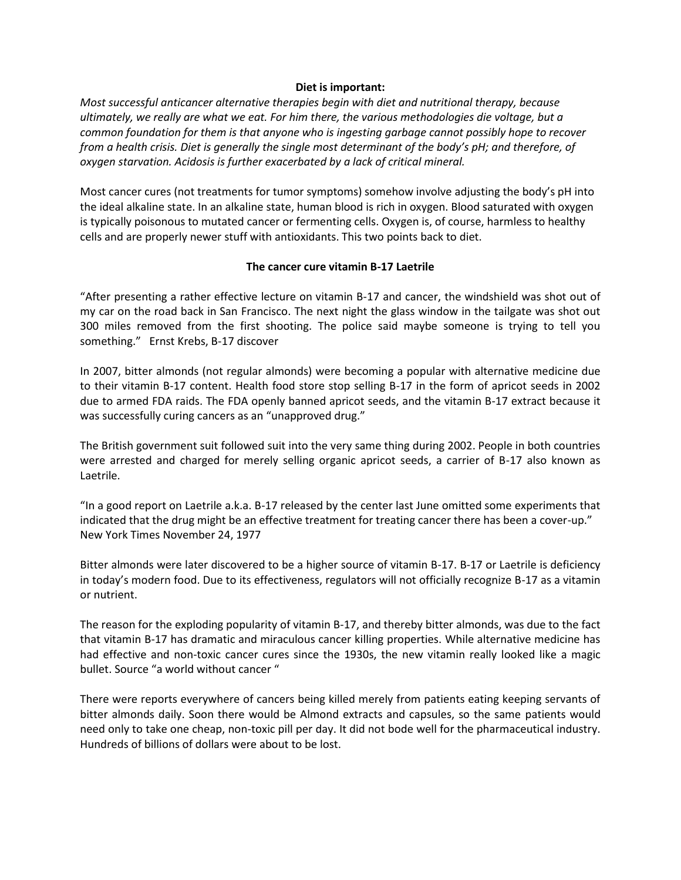#### **Diet is important:**

*Most successful anticancer alternative therapies begin with diet and nutritional therapy, because ultimately, we really are what we eat. For him there, the various methodologies die voltage, but a common foundation for them is that anyone who is ingesting garbage cannot possibly hope to recover from a health crisis. Diet is generally the single most determinant of the body's pH; and therefore, of oxygen starvation. Acidosis is further exacerbated by a lack of critical mineral.*

Most cancer cures (not treatments for tumor symptoms) somehow involve adjusting the body's pH into the ideal alkaline state. In an alkaline state, human blood is rich in oxygen. Blood saturated with oxygen is typically poisonous to mutated cancer or fermenting cells. Oxygen is, of course, harmless to healthy cells and are properly newer stuff with antioxidants. This two points back to diet.

# **The cancer cure vitamin B-17 Laetrile**

"After presenting a rather effective lecture on vitamin B-17 and cancer, the windshield was shot out of my car on the road back in San Francisco. The next night the glass window in the tailgate was shot out 300 miles removed from the first shooting. The police said maybe someone is trying to tell you something." Ernst Krebs, B-17 discover

In 2007, bitter almonds (not regular almonds) were becoming a popular with alternative medicine due to their vitamin B-17 content. Health food store stop selling B-17 in the form of apricot seeds in 2002 due to armed FDA raids. The FDA openly banned apricot seeds, and the vitamin B-17 extract because it was successfully curing cancers as an "unapproved drug."

The British government suit followed suit into the very same thing during 2002. People in both countries were arrested and charged for merely selling organic apricot seeds, a carrier of B-17 also known as Laetrile.

"In a good report on Laetrile a.k.a. B-17 released by the center last June omitted some experiments that indicated that the drug might be an effective treatment for treating cancer there has been a cover-up." New York Times November 24, 1977

Bitter almonds were later discovered to be a higher source of vitamin B-17. B-17 or Laetrile is deficiency in today's modern food. Due to its effectiveness, regulators will not officially recognize B-17 as a vitamin or nutrient.

The reason for the exploding popularity of vitamin B-17, and thereby bitter almonds, was due to the fact that vitamin B-17 has dramatic and miraculous cancer killing properties. While alternative medicine has had effective and non-toxic cancer cures since the 1930s, the new vitamin really looked like a magic bullet. Source "a world without cancer "

There were reports everywhere of cancers being killed merely from patients eating keeping servants of bitter almonds daily. Soon there would be Almond extracts and capsules, so the same patients would need only to take one cheap, non-toxic pill per day. It did not bode well for the pharmaceutical industry. Hundreds of billions of dollars were about to be lost.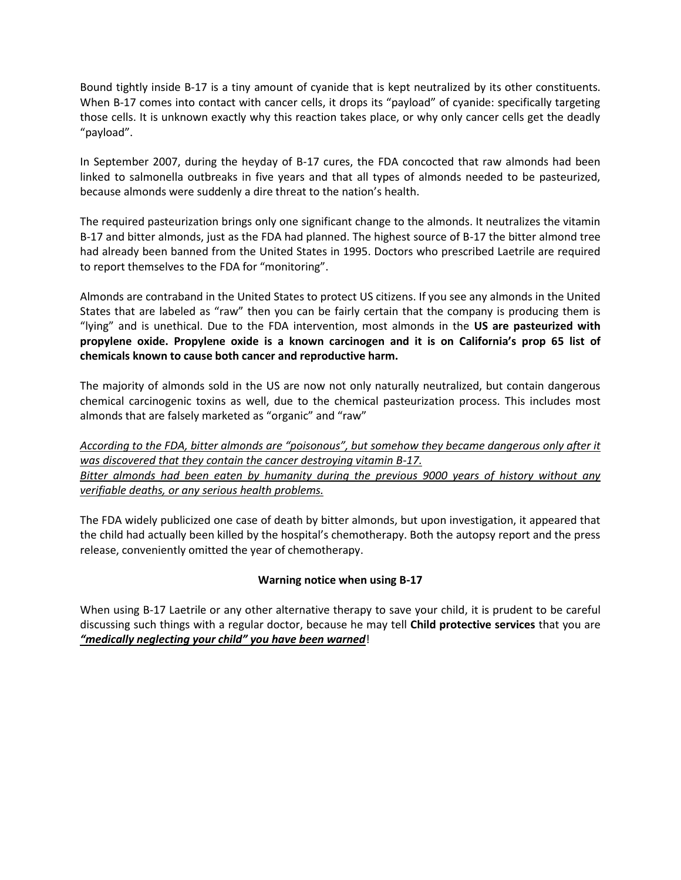Bound tightly inside B-17 is a tiny amount of cyanide that is kept neutralized by its other constituents. When B-17 comes into contact with cancer cells, it drops its "payload" of cyanide: specifically targeting those cells. It is unknown exactly why this reaction takes place, or why only cancer cells get the deadly "payload".

In September 2007, during the heyday of B-17 cures, the FDA concocted that raw almonds had been linked to salmonella outbreaks in five years and that all types of almonds needed to be pasteurized, because almonds were suddenly a dire threat to the nation's health.

The required pasteurization brings only one significant change to the almonds. It neutralizes the vitamin B-17 and bitter almonds, just as the FDA had planned. The highest source of B-17 the bitter almond tree had already been banned from the United States in 1995. Doctors who prescribed Laetrile are required to report themselves to the FDA for "monitoring".

Almonds are contraband in the United States to protect US citizens. If you see any almonds in the United States that are labeled as "raw" then you can be fairly certain that the company is producing them is "lying" and is unethical. Due to the FDA intervention, most almonds in the **US are pasteurized with propylene oxide. Propylene oxide is a known carcinogen and it is on California's prop 65 list of chemicals known to cause both cancer and reproductive harm.**

The majority of almonds sold in the US are now not only naturally neutralized, but contain dangerous chemical carcinogenic toxins as well, due to the chemical pasteurization process. This includes most almonds that are falsely marketed as "organic" and "raw"

*According to the FDA, bitter almonds are "poisonous", but somehow they became dangerous only after it was discovered that they contain the cancer destroying vitamin B-17. Bitter almonds had been eaten by humanity during the previous 9000 years of history without any verifiable deaths, or any serious health problems.*

The FDA widely publicized one case of death by bitter almonds, but upon investigation, it appeared that the child had actually been killed by the hospital's chemotherapy. Both the autopsy report and the press release, conveniently omitted the year of chemotherapy.

# **Warning notice when using B-17**

When using B-17 Laetrile or any other alternative therapy to save your child, it is prudent to be careful discussing such things with a regular doctor, because he may tell **Child protective services** that you are *"medically neglecting your child" you have been warned*!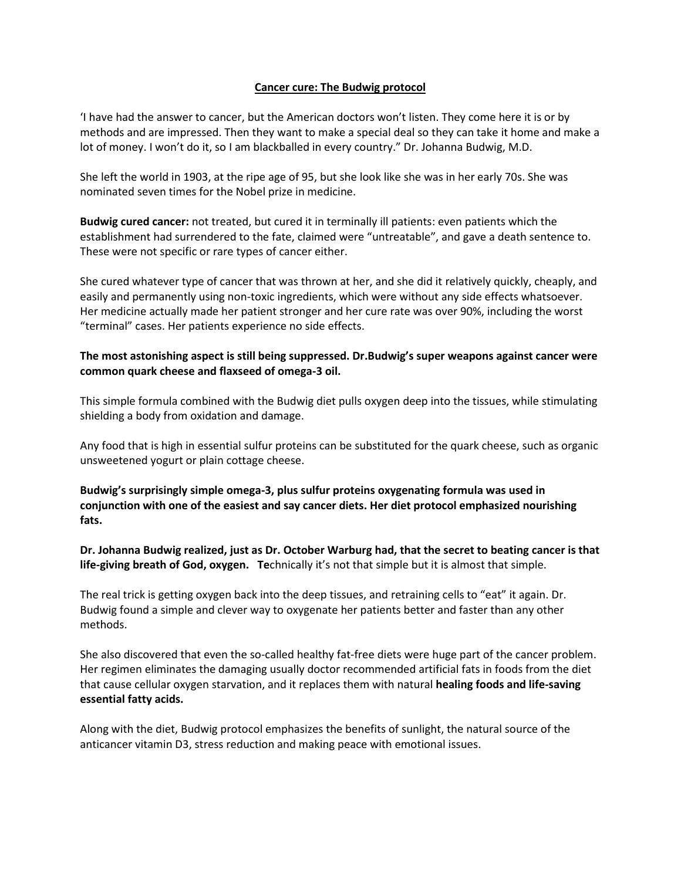### **Cancer cure: The Budwig protocol**

'I have had the answer to cancer, but the American doctors won't listen. They come here it is or by methods and are impressed. Then they want to make a special deal so they can take it home and make a lot of money. I won't do it, so I am blackballed in every country." Dr. Johanna Budwig, M.D.

She left the world in 1903, at the ripe age of 95, but she look like she was in her early 70s. She was nominated seven times for the Nobel prize in medicine.

**Budwig cured cancer:** not treated, but cured it in terminally ill patients: even patients which the establishment had surrendered to the fate, claimed were "untreatable", and gave a death sentence to. These were not specific or rare types of cancer either.

She cured whatever type of cancer that was thrown at her, and she did it relatively quickly, cheaply, and easily and permanently using non-toxic ingredients, which were without any side effects whatsoever. Her medicine actually made her patient stronger and her cure rate was over 90%, including the worst "terminal" cases. Her patients experience no side effects.

# **The most astonishing aspect is still being suppressed. Dr.Budwig's super weapons against cancer were common quark cheese and flaxseed of omega-3 oil.**

This simple formula combined with the Budwig diet pulls oxygen deep into the tissues, while stimulating shielding a body from oxidation and damage.

Any food that is high in essential sulfur proteins can be substituted for the quark cheese, such as organic unsweetened yogurt or plain cottage cheese.

**Budwig's surprisingly simple omega-3, plus sulfur proteins oxygenating formula was used in conjunction with one of the easiest and say cancer diets. Her diet protocol emphasized nourishing fats.**

**Dr. Johanna Budwig realized, just as Dr. October Warburg had, that the secret to beating cancer is that life-giving breath of God, oxygen. Te**chnically it's not that simple but it is almost that simple.

The real trick is getting oxygen back into the deep tissues, and retraining cells to "eat" it again. Dr. Budwig found a simple and clever way to oxygenate her patients better and faster than any other methods.

She also discovered that even the so-called healthy fat-free diets were huge part of the cancer problem. Her regimen eliminates the damaging usually doctor recommended artificial fats in foods from the diet that cause cellular oxygen starvation, and it replaces them with natural **healing foods and life-saving essential fatty acids.**

Along with the diet, Budwig protocol emphasizes the benefits of sunlight, the natural source of the anticancer vitamin D3, stress reduction and making peace with emotional issues.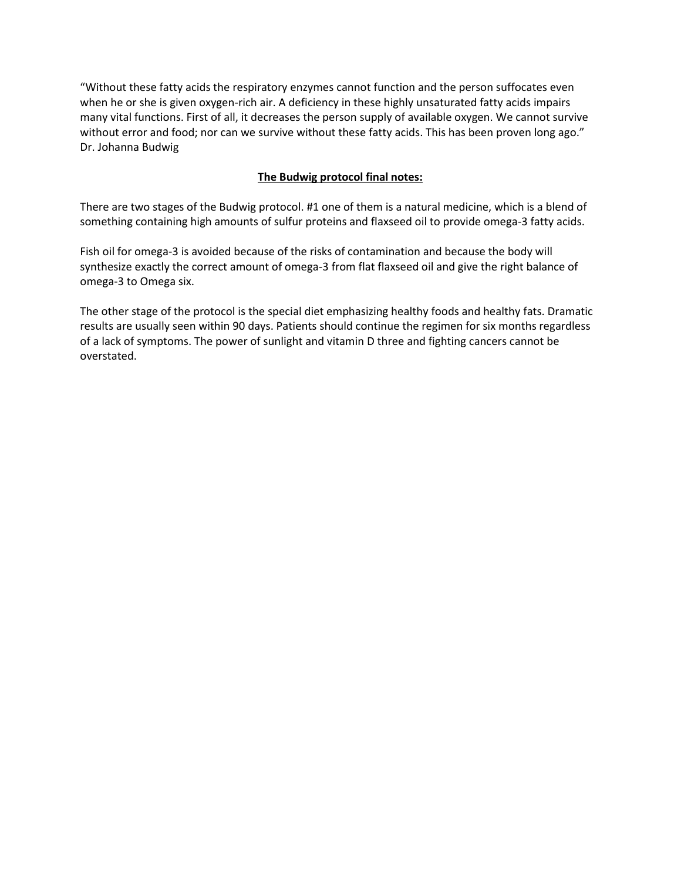"Without these fatty acids the respiratory enzymes cannot function and the person suffocates even when he or she is given oxygen-rich air. A deficiency in these highly unsaturated fatty acids impairs many vital functions. First of all, it decreases the person supply of available oxygen. We cannot survive without error and food; nor can we survive without these fatty acids. This has been proven long ago." Dr. Johanna Budwig

# **The Budwig protocol final notes:**

There are two stages of the Budwig protocol. #1 one of them is a natural medicine, which is a blend of something containing high amounts of sulfur proteins and flaxseed oil to provide omega-3 fatty acids.

Fish oil for omega-3 is avoided because of the risks of contamination and because the body will synthesize exactly the correct amount of omega-3 from flat flaxseed oil and give the right balance of omega-3 to Omega six.

The other stage of the protocol is the special diet emphasizing healthy foods and healthy fats. Dramatic results are usually seen within 90 days. Patients should continue the regimen for six months regardless of a lack of symptoms. The power of sunlight and vitamin D three and fighting cancers cannot be overstated.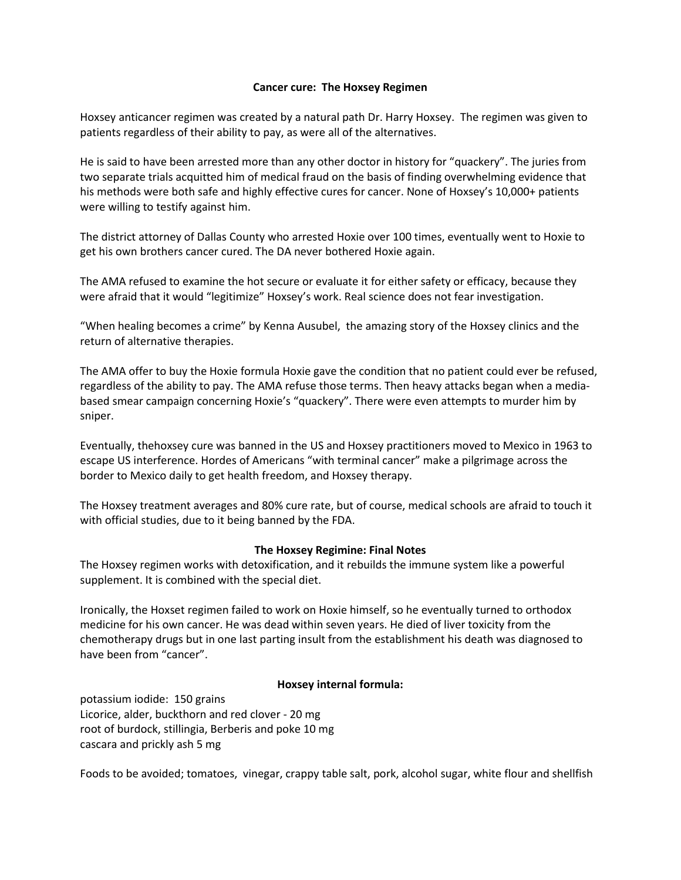### **Cancer cure: The Hoxsey Regimen**

Hoxsey anticancer regimen was created by a natural path Dr. Harry Hoxsey. The regimen was given to patients regardless of their ability to pay, as were all of the alternatives.

He is said to have been arrested more than any other doctor in history for "quackery". The juries from two separate trials acquitted him of medical fraud on the basis of finding overwhelming evidence that his methods were both safe and highly effective cures for cancer. None of Hoxsey's 10,000+ patients were willing to testify against him.

The district attorney of Dallas County who arrested Hoxie over 100 times, eventually went to Hoxie to get his own brothers cancer cured. The DA never bothered Hoxie again.

The AMA refused to examine the hot secure or evaluate it for either safety or efficacy, because they were afraid that it would "legitimize" Hoxsey's work. Real science does not fear investigation.

"When healing becomes a crime" by Kenna Ausubel, the amazing story of the Hoxsey clinics and the return of alternative therapies.

The AMA offer to buy the Hoxie formula Hoxie gave the condition that no patient could ever be refused, regardless of the ability to pay. The AMA refuse those terms. Then heavy attacks began when a mediabased smear campaign concerning Hoxie's "quackery". There were even attempts to murder him by sniper.

Eventually, thehoxsey cure was banned in the US and Hoxsey practitioners moved to Mexico in 1963 to escape US interference. Hordes of Americans "with terminal cancer" make a pilgrimage across the border to Mexico daily to get health freedom, and Hoxsey therapy.

The Hoxsey treatment averages and 80% cure rate, but of course, medical schools are afraid to touch it with official studies, due to it being banned by the FDA.

#### **The Hoxsey Regimine: Final Notes**

The Hoxsey regimen works with detoxification, and it rebuilds the immune system like a powerful supplement. It is combined with the special diet.

Ironically, the Hoxset regimen failed to work on Hoxie himself, so he eventually turned to orthodox medicine for his own cancer. He was dead within seven years. He died of liver toxicity from the chemotherapy drugs but in one last parting insult from the establishment his death was diagnosed to have been from "cancer".

# **Hoxsey internal formula:**

potassium iodide: 150 grains Licorice, alder, buckthorn and red clover - 20 mg root of burdock, stillingia, Berberis and poke 10 mg cascara and prickly ash 5 mg

Foods to be avoided; tomatoes, vinegar, crappy table salt, pork, alcohol sugar, white flour and shellfish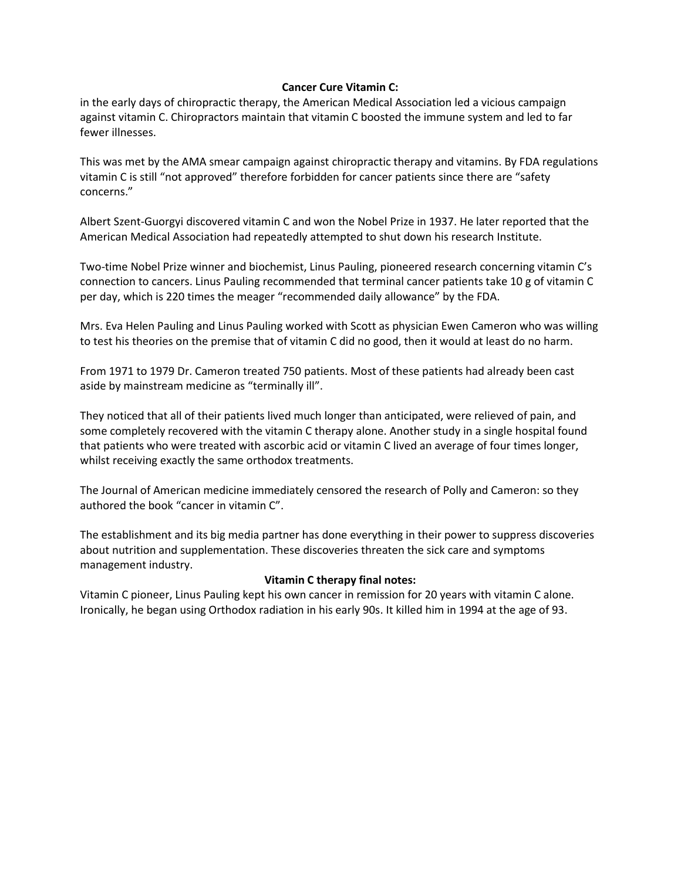# **Cancer Cure Vitamin C:**

in the early days of chiropractic therapy, the American Medical Association led a vicious campaign against vitamin C. Chiropractors maintain that vitamin C boosted the immune system and led to far fewer illnesses.

This was met by the AMA smear campaign against chiropractic therapy and vitamins. By FDA regulations vitamin C is still "not approved" therefore forbidden for cancer patients since there are "safety concerns."

Albert Szent-Guorgyi discovered vitamin C and won the Nobel Prize in 1937. He later reported that the American Medical Association had repeatedly attempted to shut down his research Institute.

Two-time Nobel Prize winner and biochemist, Linus Pauling, pioneered research concerning vitamin C's connection to cancers. Linus Pauling recommended that terminal cancer patients take 10 g of vitamin C per day, which is 220 times the meager "recommended daily allowance" by the FDA.

Mrs. Eva Helen Pauling and Linus Pauling worked with Scott as physician Ewen Cameron who was willing to test his theories on the premise that of vitamin C did no good, then it would at least do no harm.

From 1971 to 1979 Dr. Cameron treated 750 patients. Most of these patients had already been cast aside by mainstream medicine as "terminally ill".

They noticed that all of their patients lived much longer than anticipated, were relieved of pain, and some completely recovered with the vitamin C therapy alone. Another study in a single hospital found that patients who were treated with ascorbic acid or vitamin C lived an average of four times longer, whilst receiving exactly the same orthodox treatments.

The Journal of American medicine immediately censored the research of Polly and Cameron: so they authored the book "cancer in vitamin C".

The establishment and its big media partner has done everything in their power to suppress discoveries about nutrition and supplementation. These discoveries threaten the sick care and symptoms management industry.

# **Vitamin C therapy final notes:**

Vitamin C pioneer, Linus Pauling kept his own cancer in remission for 20 years with vitamin C alone. Ironically, he began using Orthodox radiation in his early 90s. It killed him in 1994 at the age of 93.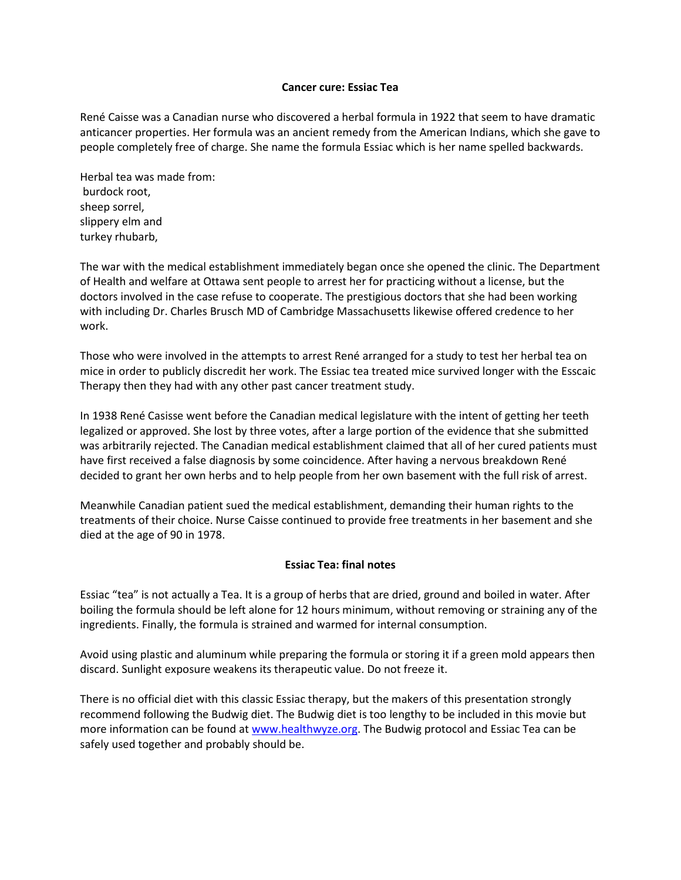#### **Cancer cure: Essiac Tea**

René Caisse was a Canadian nurse who discovered a herbal formula in 1922 that seem to have dramatic anticancer properties. Her formula was an ancient remedy from the American Indians, which she gave to people completely free of charge. She name the formula Essiac which is her name spelled backwards.

Herbal tea was made from: burdock root, sheep sorrel, slippery elm and turkey rhubarb,

The war with the medical establishment immediately began once she opened the clinic. The Department of Health and welfare at Ottawa sent people to arrest her for practicing without a license, but the doctors involved in the case refuse to cooperate. The prestigious doctors that she had been working with including Dr. Charles Brusch MD of Cambridge Massachusetts likewise offered credence to her work.

Those who were involved in the attempts to arrest René arranged for a study to test her herbal tea on mice in order to publicly discredit her work. The Essiac tea treated mice survived longer with the Esscaic Therapy then they had with any other past cancer treatment study.

In 1938 René Casisse went before the Canadian medical legislature with the intent of getting her teeth legalized or approved. She lost by three votes, after a large portion of the evidence that she submitted was arbitrarily rejected. The Canadian medical establishment claimed that all of her cured patients must have first received a false diagnosis by some coincidence. After having a nervous breakdown René decided to grant her own herbs and to help people from her own basement with the full risk of arrest.

Meanwhile Canadian patient sued the medical establishment, demanding their human rights to the treatments of their choice. Nurse Caisse continued to provide free treatments in her basement and she died at the age of 90 in 1978.

# **Essiac Tea: final notes**

Essiac "tea" is not actually a Tea. It is a group of herbs that are dried, ground and boiled in water. After boiling the formula should be left alone for 12 hours minimum, without removing or straining any of the ingredients. Finally, the formula is strained and warmed for internal consumption.

Avoid using plastic and aluminum while preparing the formula or storing it if a green mold appears then discard. Sunlight exposure weakens its therapeutic value. Do not freeze it.

There is no official diet with this classic Essiac therapy, but the makers of this presentation strongly recommend following the Budwig diet. The Budwig diet is too lengthy to be included in this movie but more information can be found at [www.healthwyze.org.](http://www.healthwyze.org/) The Budwig protocol and Essiac Tea can be safely used together and probably should be.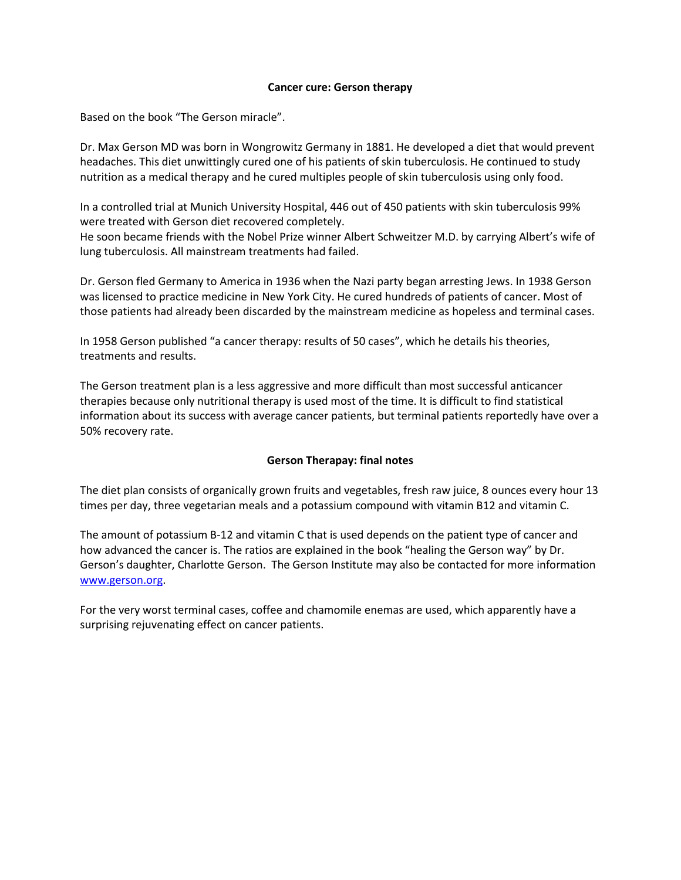### **Cancer cure: Gerson therapy**

Based on the book "The Gerson miracle".

Dr. Max Gerson MD was born in Wongrowitz Germany in 1881. He developed a diet that would prevent headaches. This diet unwittingly cured one of his patients of skin tuberculosis. He continued to study nutrition as a medical therapy and he cured multiples people of skin tuberculosis using only food.

In a controlled trial at Munich University Hospital, 446 out of 450 patients with skin tuberculosis 99% were treated with Gerson diet recovered completely.

He soon became friends with the Nobel Prize winner Albert Schweitzer M.D. by carrying Albert's wife of lung tuberculosis. All mainstream treatments had failed.

Dr. Gerson fled Germany to America in 1936 when the Nazi party began arresting Jews. In 1938 Gerson was licensed to practice medicine in New York City. He cured hundreds of patients of cancer. Most of those patients had already been discarded by the mainstream medicine as hopeless and terminal cases.

In 1958 Gerson published "a cancer therapy: results of 50 cases", which he details his theories, treatments and results.

The Gerson treatment plan is a less aggressive and more difficult than most successful anticancer therapies because only nutritional therapy is used most of the time. It is difficult to find statistical information about its success with average cancer patients, but terminal patients reportedly have over a 50% recovery rate.

# **Gerson Therapay: final notes**

The diet plan consists of organically grown fruits and vegetables, fresh raw juice, 8 ounces every hour 13 times per day, three vegetarian meals and a potassium compound with vitamin B12 and vitamin C.

The amount of potassium B-12 and vitamin C that is used depends on the patient type of cancer and how advanced the cancer is. The ratios are explained in the book "healing the Gerson way" by Dr. Gerson's daughter, Charlotte Gerson. The Gerson Institute may also be contacted for more information [www.gerson.org.](http://www.gerson.org/)

For the very worst terminal cases, coffee and chamomile enemas are used, which apparently have a surprising rejuvenating effect on cancer patients.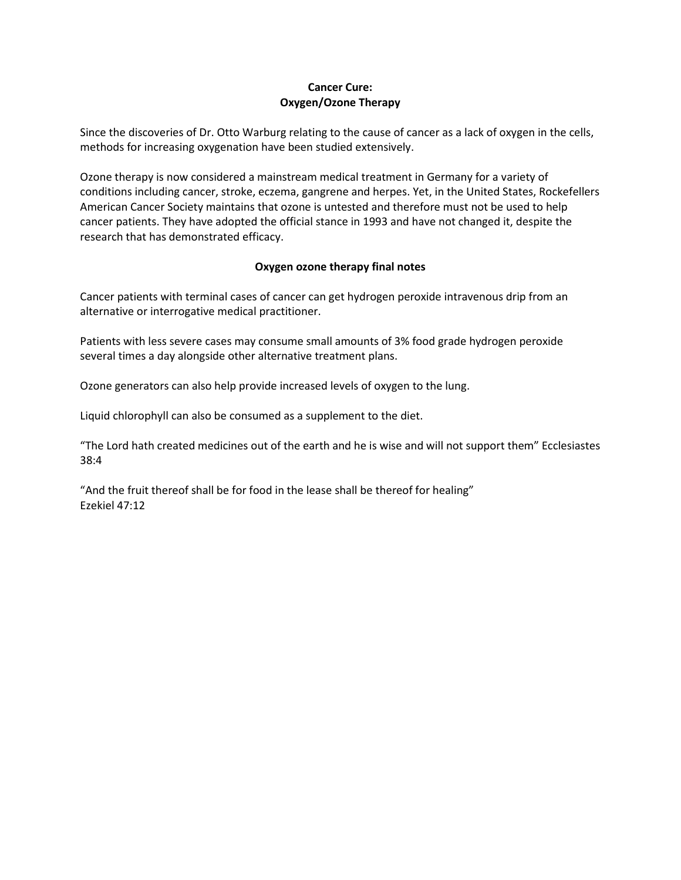# **Cancer Cure: Oxygen/Ozone Therapy**

Since the discoveries of Dr. Otto Warburg relating to the cause of cancer as a lack of oxygen in the cells, methods for increasing oxygenation have been studied extensively.

Ozone therapy is now considered a mainstream medical treatment in Germany for a variety of conditions including cancer, stroke, eczema, gangrene and herpes. Yet, in the United States, Rockefellers American Cancer Society maintains that ozone is untested and therefore must not be used to help cancer patients. They have adopted the official stance in 1993 and have not changed it, despite the research that has demonstrated efficacy.

# **Oxygen ozone therapy final notes**

Cancer patients with terminal cases of cancer can get hydrogen peroxide intravenous drip from an alternative or interrogative medical practitioner.

Patients with less severe cases may consume small amounts of 3% food grade hydrogen peroxide several times a day alongside other alternative treatment plans.

Ozone generators can also help provide increased levels of oxygen to the lung.

Liquid chlorophyll can also be consumed as a supplement to the diet.

"The Lord hath created medicines out of the earth and he is wise and will not support them" Ecclesiastes 38:4

"And the fruit thereof shall be for food in the lease shall be thereof for healing" Ezekiel 47:12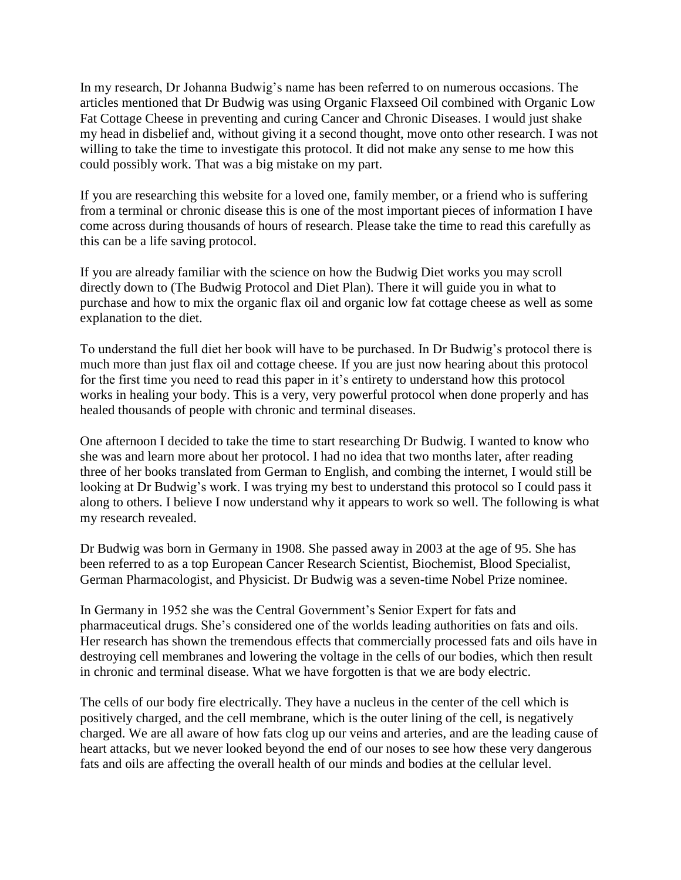In my research, Dr Johanna Budwig's name has been referred to on numerous occasions. The articles mentioned that Dr Budwig was using Organic Flaxseed Oil combined with Organic Low Fat Cottage Cheese in preventing and curing Cancer and Chronic Diseases. I would just shake my head in disbelief and, without giving it a second thought, move onto other research. I was not willing to take the time to investigate this protocol. It did not make any sense to me how this could possibly work. That was a big mistake on my part.

If you are researching this website for a loved one, family member, or a friend who is suffering from a terminal or chronic disease this is one of the most important pieces of information I have come across during thousands of hours of research. Please take the time to read this carefully as this can be a life saving protocol.

If you are already familiar with the science on how the Budwig Diet works you may scroll directly down to (The Budwig Protocol and Diet Plan). There it will guide you in what to purchase and how to mix the organic flax oil and organic low fat cottage cheese as well as some explanation to the diet.

To understand the full diet her book will have to be purchased. In Dr Budwig's protocol there is much more than just flax oil and cottage cheese. If you are just now hearing about this protocol for the first time you need to read this paper in it's entirety to understand how this protocol works in healing your body. This is a very, very powerful protocol when done properly and has healed thousands of people with chronic and terminal diseases.

One afternoon I decided to take the time to start researching Dr Budwig. I wanted to know who she was and learn more about her protocol. I had no idea that two months later, after reading three of her books translated from German to English, and combing the internet, I would still be looking at Dr Budwig's work. I was trying my best to understand this protocol so I could pass it along to others. I believe I now understand why it appears to work so well. The following is what my research revealed.

Dr Budwig was born in Germany in 1908. She passed away in 2003 at the age of 95. She has been referred to as a top European Cancer Research Scientist, Biochemist, Blood Specialist, German Pharmacologist, and Physicist. Dr Budwig was a seven-time Nobel Prize nominee.

In Germany in 1952 she was the Central Government's Senior Expert for fats and pharmaceutical drugs. She's considered one of the worlds leading authorities on fats and oils. Her research has shown the tremendous effects that commercially processed fats and oils have in destroying cell membranes and lowering the voltage in the cells of our bodies, which then result in chronic and terminal disease. What we have forgotten is that we are body electric.

The cells of our body fire electrically. They have a nucleus in the center of the cell which is positively charged, and the cell membrane, which is the outer lining of the cell, is negatively charged. We are all aware of how fats clog up our veins and arteries, and are the leading cause of heart attacks, but we never looked beyond the end of our noses to see how these very dangerous fats and oils are affecting the overall health of our minds and bodies at the cellular level.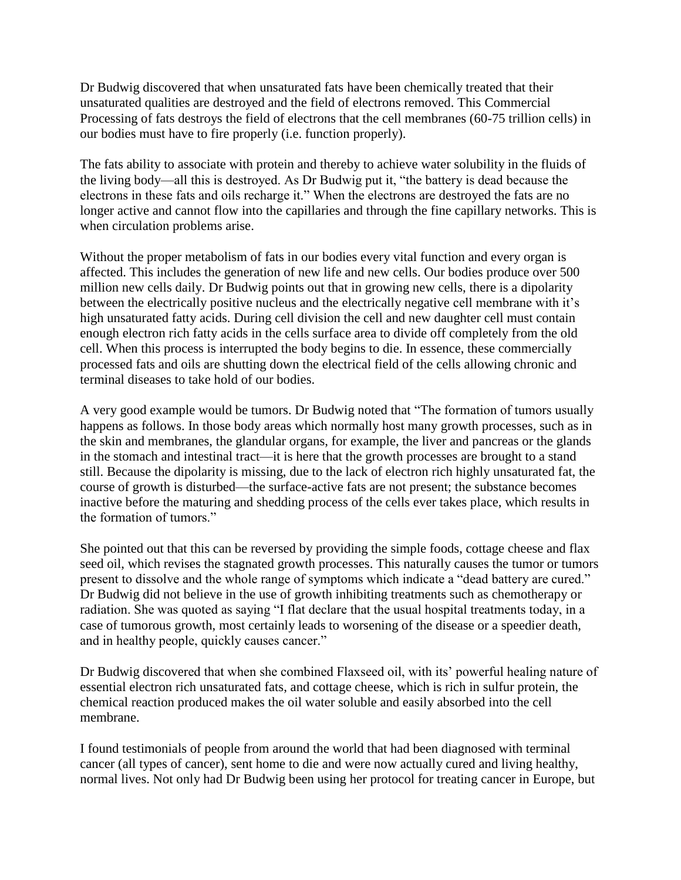Dr Budwig discovered that when unsaturated fats have been chemically treated that their unsaturated qualities are destroyed and the field of electrons removed. This Commercial Processing of fats destroys the field of electrons that the cell membranes (60-75 trillion cells) in our bodies must have to fire properly (i.e. function properly).

The fats ability to associate with protein and thereby to achieve water solubility in the fluids of the living body—all this is destroyed. As Dr Budwig put it, "the battery is dead because the electrons in these fats and oils recharge it." When the electrons are destroyed the fats are no longer active and cannot flow into the capillaries and through the fine capillary networks. This is when circulation problems arise.

Without the proper metabolism of fats in our bodies every vital function and every organ is affected. This includes the generation of new life and new cells. Our bodies produce over 500 million new cells daily. Dr Budwig points out that in growing new cells, there is a dipolarity between the electrically positive nucleus and the electrically negative cell membrane with it's high unsaturated fatty acids. During cell division the cell and new daughter cell must contain enough electron rich fatty acids in the cells surface area to divide off completely from the old cell. When this process is interrupted the body begins to die. In essence, these commercially processed fats and oils are shutting down the electrical field of the cells allowing chronic and terminal diseases to take hold of our bodies.

A very good example would be tumors. Dr Budwig noted that "The formation of tumors usually happens as follows. In those body areas which normally host many growth processes, such as in the skin and membranes, the glandular organs, for example, the liver and pancreas or the glands in the stomach and intestinal tract—it is here that the growth processes are brought to a stand still. Because the dipolarity is missing, due to the lack of electron rich highly unsaturated fat, the course of growth is disturbed—the surface-active fats are not present; the substance becomes inactive before the maturing and shedding process of the cells ever takes place, which results in the formation of tumors."

She pointed out that this can be reversed by providing the simple foods, cottage cheese and flax seed oil, which revises the stagnated growth processes. This naturally causes the tumor or tumors present to dissolve and the whole range of symptoms which indicate a "dead battery are cured." Dr Budwig did not believe in the use of growth inhibiting treatments such as chemotherapy or radiation. She was quoted as saying "I flat declare that the usual hospital treatments today, in a case of tumorous growth, most certainly leads to worsening of the disease or a speedier death, and in healthy people, quickly causes cancer."

Dr Budwig discovered that when she combined Flaxseed oil, with its' powerful healing nature of essential electron rich unsaturated fats, and cottage cheese, which is rich in sulfur protein, the chemical reaction produced makes the oil water soluble and easily absorbed into the cell membrane.

I found testimonials of people from around the world that had been diagnosed with terminal cancer (all types of cancer), sent home to die and were now actually cured and living healthy, normal lives. Not only had Dr Budwig been using her protocol for treating cancer in Europe, but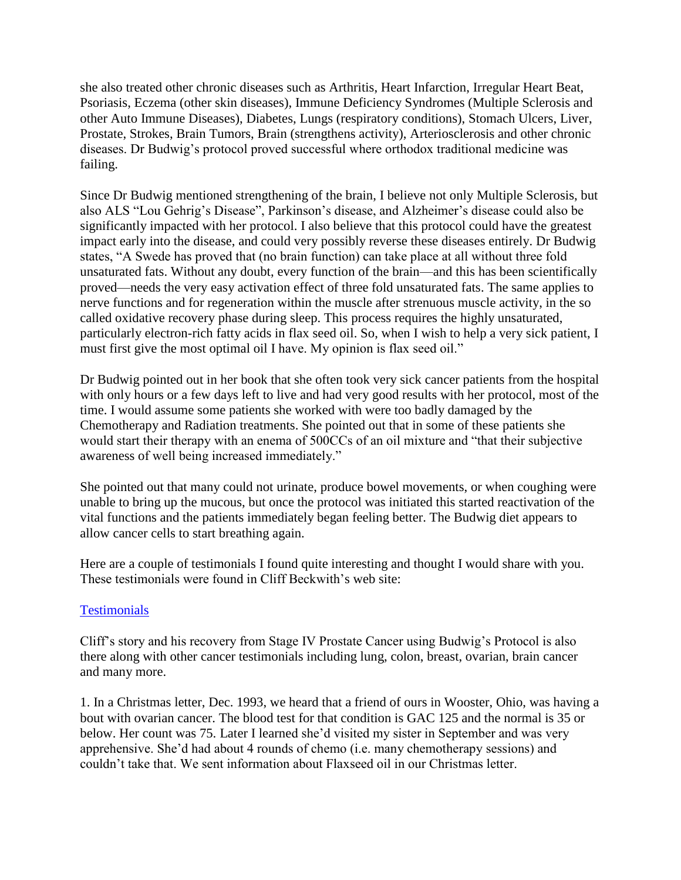she also treated other chronic diseases such as Arthritis, Heart Infarction, Irregular Heart Beat, Psoriasis, Eczema (other skin diseases), Immune Deficiency Syndromes (Multiple Sclerosis and other Auto Immune Diseases), Diabetes, Lungs (respiratory conditions), Stomach Ulcers, Liver, Prostate, Strokes, Brain Tumors, Brain (strengthens activity), Arteriosclerosis and other chronic diseases. Dr Budwig's protocol proved successful where orthodox traditional medicine was failing.

Since Dr Budwig mentioned strengthening of the brain, I believe not only Multiple Sclerosis, but also ALS "Lou Gehrig's Disease", Parkinson's disease, and Alzheimer's disease could also be significantly impacted with her protocol. I also believe that this protocol could have the greatest impact early into the disease, and could very possibly reverse these diseases entirely. Dr Budwig states, "A Swede has proved that (no brain function) can take place at all without three fold unsaturated fats. Without any doubt, every function of the brain—and this has been scientifically proved—needs the very easy activation effect of three fold unsaturated fats. The same applies to nerve functions and for regeneration within the muscle after strenuous muscle activity, in the so called oxidative recovery phase during sleep. This process requires the highly unsaturated, particularly electron-rich fatty acids in flax seed oil. So, when I wish to help a very sick patient, I must first give the most optimal oil I have. My opinion is flax seed oil."

Dr Budwig pointed out in her book that she often took very sick cancer patients from the hospital with only hours or a few days left to live and had very good results with her protocol, most of the time. I would assume some patients she worked with were too badly damaged by the Chemotherapy and Radiation treatments. She pointed out that in some of these patients she would start their therapy with an enema of 500CCs of an oil mixture and "that their subjective awareness of well being increased immediately."

She pointed out that many could not urinate, produce bowel movements, or when coughing were unable to bring up the mucous, but once the protocol was initiated this started reactivation of the vital functions and the patients immediately began feeling better. The Budwig diet appears to allow cancer cells to start breathing again.

Here are a couple of testimonials I found quite interesting and thought I would share with you. These testimonials were found in Cliff Beckwith's web site:

# **[Testimonials](http://www.whale.to/a/beckwith.html)**

Cliff's story and his recovery from Stage IV Prostate Cancer using Budwig's Protocol is also there along with other cancer testimonials including lung, colon, breast, ovarian, brain cancer and many more.

1. In a Christmas letter, Dec. 1993, we heard that a friend of ours in Wooster, Ohio, was having a bout with ovarian cancer. The blood test for that condition is GAC 125 and the normal is 35 or below. Her count was 75. Later I learned she'd visited my sister in September and was very apprehensive. She'd had about 4 rounds of chemo (i.e. many chemotherapy sessions) and couldn't take that. We sent information about Flaxseed oil in our Christmas letter.